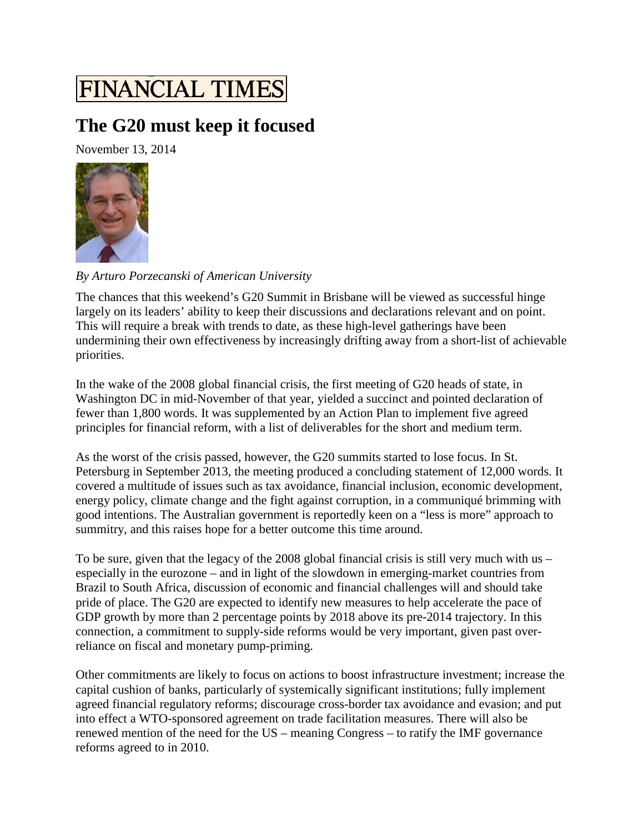## **FINANCIAL TIMES**

## **The G20 must keep it focused**

November 13, 2014



*By Arturo Porzecanski of American University*

The chances that this weekend's G20 Summit in Brisbane will be viewed as successful hinge largely on its leaders' ability to keep their discussions and declarations relevant and on point. This will require a break with trends to date, as these high-level gatherings have been undermining their own effectiveness by increasingly drifting away from a short-list of achievable priorities.

In the wake of the 2008 global financial crisis, the first meeting of G20 heads of state, in Washington DC in mid-November of that year, yielded a succinct and pointed declaration of fewer than 1,800 words. It was supplemented by an Action Plan to implement five agreed principles for financial reform, with a list of deliverables for the short and medium term.

As the worst of the crisis passed, however, the G20 summits started to lose focus. In St. Petersburg in September 2013, the meeting produced a concluding statement of 12,000 words. It covered a multitude of issues such as tax avoidance, financial inclusion, economic development, energy policy, climate change and the fight against corruption, in a communiqué brimming with good intentions. The Australian government is reportedly keen on a "less is more" approach to summitry, and this raises hope for a better outcome this time around.

To be sure, given that the legacy of the 2008 global financial crisis is still very much with us – especially in the eurozone – and in light of the slowdown in emerging-market countries from Brazil to South Africa, discussion of economic and financial challenges will and should take pride of place. The G20 are expected to identify new measures to help accelerate the pace of GDP growth by more than 2 percentage points by 2018 above its pre-2014 trajectory. In this connection, a commitment to supply-side reforms would be very important, given past overreliance on fiscal and monetary pump-priming.

Other commitments are likely to focus on actions to boost infrastructure investment; increase the capital cushion of banks, particularly of systemically significant institutions; fully implement agreed financial regulatory reforms; discourage cross-border tax avoidance and evasion; and put into effect a WTO-sponsored agreement on trade facilitation measures. There will also be renewed mention of the need for the US – meaning Congress – to ratify the IMF governance reforms agreed to in 2010.